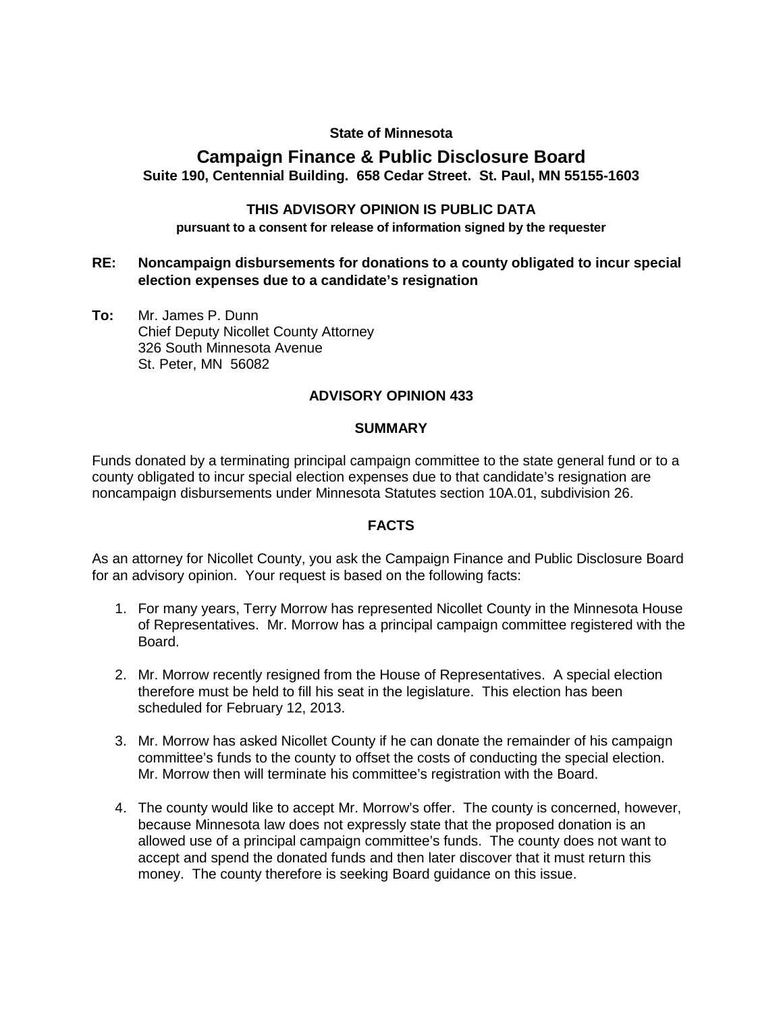### **State of Minnesota**

# **Campaign Finance & Public Disclosure Board Suite 190, Centennial Building. 658 Cedar Street. St. Paul, MN 55155-1603**

### **THIS ADVISORY OPINION IS PUBLIC DATA**

**pursuant to a consent for release of information signed by the requester** 

# **RE: Noncampaign disbursements for donations to a county obligated to incur special election expenses due to a candidate's resignation**

**To:** Mr. James P. Dunn Chief Deputy Nicollet County Attorney 326 South Minnesota Avenue St. Peter, MN 56082

# **ADVISORY OPINION 433**

#### **SUMMARY**

Funds donated by a terminating principal campaign committee to the state general fund or to a county obligated to incur special election expenses due to that candidate's resignation are noncampaign disbursements under Minnesota Statutes section 10A.01, subdivision 26.

#### **FACTS**

As an attorney for Nicollet County, you ask the Campaign Finance and Public Disclosure Board for an advisory opinion. Your request is based on the following facts:

- 1. For many years, Terry Morrow has represented Nicollet County in the Minnesota House of Representatives. Mr. Morrow has a principal campaign committee registered with the Board.
- 2. Mr. Morrow recently resigned from the House of Representatives. A special election therefore must be held to fill his seat in the legislature. This election has been scheduled for February 12, 2013.
- 3. Mr. Morrow has asked Nicollet County if he can donate the remainder of his campaign committee's funds to the county to offset the costs of conducting the special election. Mr. Morrow then will terminate his committee's registration with the Board.
- 4. The county would like to accept Mr. Morrow's offer. The county is concerned, however, because Minnesota law does not expressly state that the proposed donation is an allowed use of a principal campaign committee's funds. The county does not want to accept and spend the donated funds and then later discover that it must return this money. The county therefore is seeking Board guidance on this issue.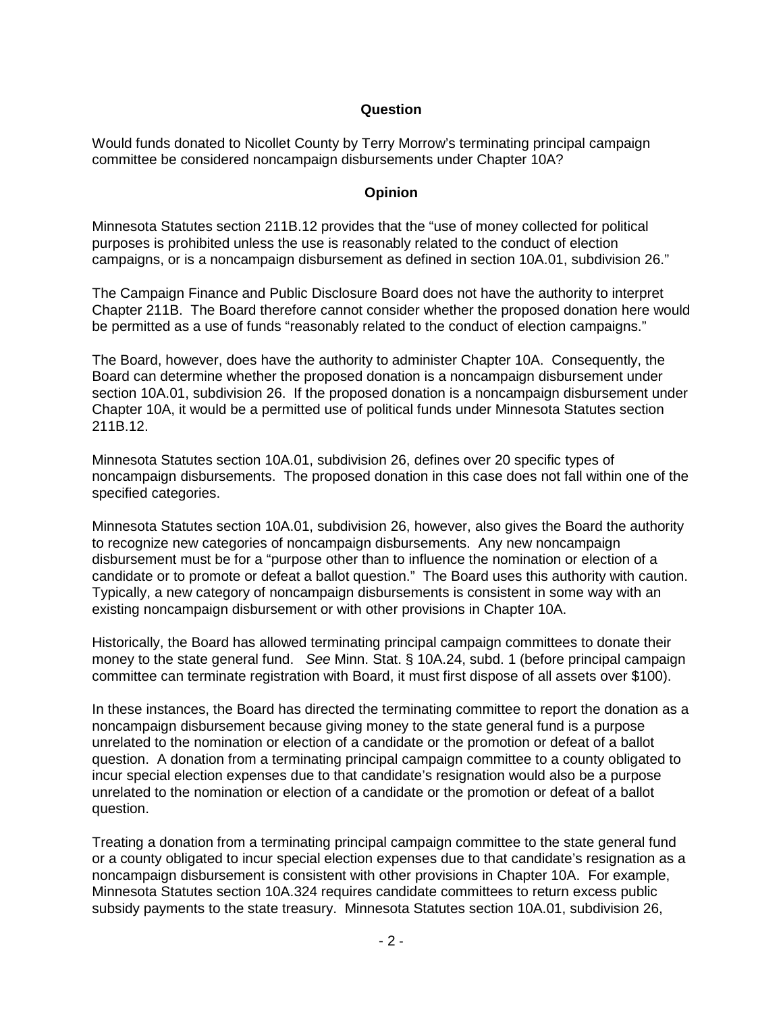# **Question**

Would funds donated to Nicollet County by Terry Morrow's terminating principal campaign committee be considered noncampaign disbursements under Chapter 10A?

#### **Opinion**

Minnesota Statutes section 211B.12 provides that the "use of money collected for political purposes is prohibited unless the use is reasonably related to the conduct of election campaigns, or is a noncampaign disbursement as defined in section 10A.01, subdivision 26."

The Campaign Finance and Public Disclosure Board does not have the authority to interpret Chapter 211B. The Board therefore cannot consider whether the proposed donation here would be permitted as a use of funds "reasonably related to the conduct of election campaigns."

The Board, however, does have the authority to administer Chapter 10A. Consequently, the Board can determine whether the proposed donation is a noncampaign disbursement under section 10A.01, subdivision 26. If the proposed donation is a noncampaign disbursement under Chapter 10A, it would be a permitted use of political funds under Minnesota Statutes section 211B.12.

Minnesota Statutes section 10A.01, subdivision 26, defines over 20 specific types of noncampaign disbursements. The proposed donation in this case does not fall within one of the specified categories.

Minnesota Statutes section 10A.01, subdivision 26, however, also gives the Board the authority to recognize new categories of noncampaign disbursements. Any new noncampaign disbursement must be for a "purpose other than to influence the nomination or election of a candidate or to promote or defeat a ballot question." The Board uses this authority with caution. Typically, a new category of noncampaign disbursements is consistent in some way with an existing noncampaign disbursement or with other provisions in Chapter 10A.

Historically, the Board has allowed terminating principal campaign committees to donate their money to the state general fund. *See* Minn. Stat. § 10A.24, subd. 1 (before principal campaign committee can terminate registration with Board, it must first dispose of all assets over \$100).

In these instances, the Board has directed the terminating committee to report the donation as a noncampaign disbursement because giving money to the state general fund is a purpose unrelated to the nomination or election of a candidate or the promotion or defeat of a ballot question. A donation from a terminating principal campaign committee to a county obligated to incur special election expenses due to that candidate's resignation would also be a purpose unrelated to the nomination or election of a candidate or the promotion or defeat of a ballot question.

Treating a donation from a terminating principal campaign committee to the state general fund or a county obligated to incur special election expenses due to that candidate's resignation as a noncampaign disbursement is consistent with other provisions in Chapter 10A. For example, Minnesota Statutes section 10A.324 requires candidate committees to return excess public subsidy payments to the state treasury. Minnesota Statutes section 10A.01, subdivision 26,